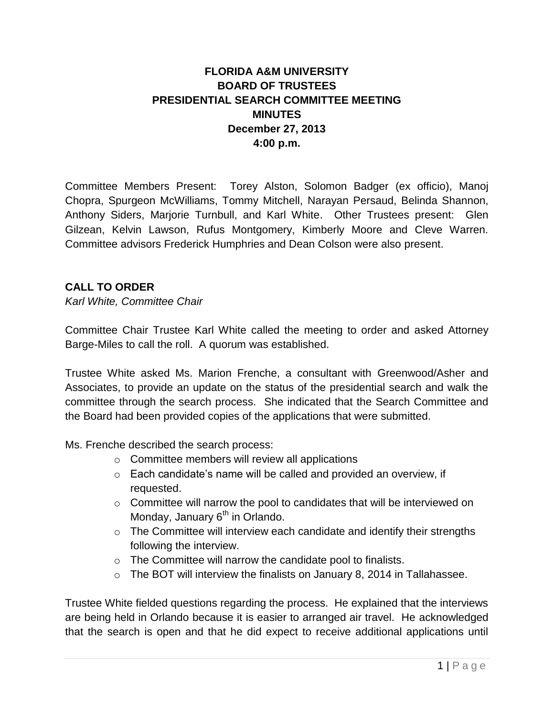## **FLORIDA A&M UNIVERSITY BOARD OF TRUSTEES PRESIDENTIAL SEARCH COMMITTEE MEETING MINUTES December 27, 2013 4:00 p.m.**

Committee Members Present: Torey Alston, Solomon Badger (ex officio), Manoj Chopra, Spurgeon McWilliams, Tommy Mitchell, Narayan Persaud, Belinda Shannon, Anthony Siders, Marjorie Turnbull, and Karl White. Other Trustees present: Glen Gilzean, Kelvin Lawson, Rufus Montgomery, Kimberly Moore and Cleve Warren. Committee advisors Frederick Humphries and Dean Colson were also present.

## **CALL TO ORDER**

*Karl White, Committee Chair*

Committee Chair Trustee Karl White called the meeting to order and asked Attorney Barge-Miles to call the roll. A quorum was established.

Trustee White asked Ms. Marion Frenche, a consultant with Greenwood/Asher and Associates, to provide an update on the status of the presidential search and walk the committee through the search process. She indicated that the Search Committee and the Board had been provided copies of the applications that were submitted.

Ms. Frenche described the search process:

- o Committee members will review all applications
- o Each candidate's name will be called and provided an overview, if requested.
- o Committee will narrow the pool to candidates that will be interviewed on Monday, January  $6<sup>th</sup>$  in Orlando.
- $\circ$  The Committee will interview each candidate and identify their strengths following the interview.
- o The Committee will narrow the candidate pool to finalists.
- o The BOT will interview the finalists on January 8, 2014 in Tallahassee.

Trustee White fielded questions regarding the process. He explained that the interviews are being held in Orlando because it is easier to arranged air travel. He acknowledged that the search is open and that he did expect to receive additional applications until